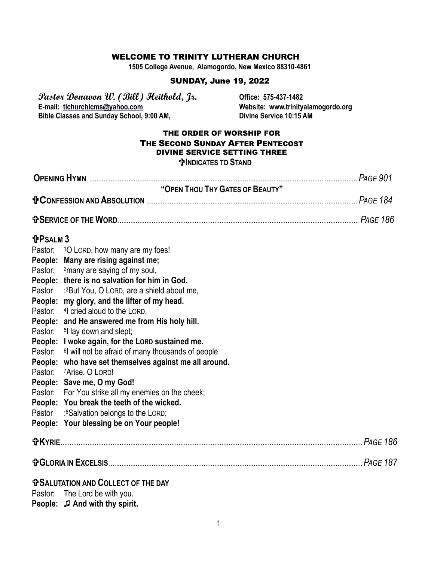#### WELCOME TO TRINITY LUTHERAN CHURCH

**1505 College Avenue, Alamogordo, New Mexico 88310-4861**

#### SUNDAY, June 19, 2022

**Pastor Donavon W. (Bill) Heithold, Jr. Office: 575-437-1482 Bible Classes and Sunday School, 9:00 AM,** 

Website: www.trinityalamogordo.org<br>Divine Service 10:15 AM

#### THE ORDER OF WORSHIP FOR THE SECOND SUNDAY AFTER PENTECOST DIVINE SERVICE SETTING THREE **INDICATES TO STAND**

|                 |                                                                                       | <b>PAGE 901</b> |  |
|-----------------|---------------------------------------------------------------------------------------|-----------------|--|
|                 | "OPEN THOU THY GATES OF BEAUTY"                                                       |                 |  |
|                 |                                                                                       |                 |  |
|                 |                                                                                       |                 |  |
| <b>fPSALM 3</b> |                                                                                       |                 |  |
|                 | Pastor: 10 LORD, how many are my foes!                                                |                 |  |
|                 | People: Many are rising against me;                                                   |                 |  |
|                 | Pastor: <sup>2</sup> many are saying of my soul,                                      |                 |  |
|                 | People: there is no salvation for him in God.                                         |                 |  |
| Pastor          | :3But You, O LORD, are a shield about me,                                             |                 |  |
|                 | People: my glory, and the lifter of my head.                                          |                 |  |
|                 | Pastor: 4 cried aloud to the LORD,                                                    |                 |  |
|                 | People: and He answered me from His holy hill.                                        |                 |  |
|                 | Pastor: 5 lay down and slept;                                                         |                 |  |
|                 | People: I woke again, for the LORD sustained me.                                      |                 |  |
| Pastor:         | <sup>6</sup> will not be afraid of many thousands of people                           |                 |  |
| Pastor:         | People: who have set themselves against me all around.<br><sup>7</sup> Arise, O LORD! |                 |  |
|                 | People: Save me, O my God!                                                            |                 |  |
|                 | Pastor: For You strike all my enemies on the cheek;                                   |                 |  |
|                 | People: You break the teeth of the wicked.                                            |                 |  |
| Pastor          | :8Salvation belongs to the LORD;                                                      |                 |  |
|                 | People: Your blessing be on Your people!                                              |                 |  |
|                 |                                                                                       | <b>PAGE 186</b> |  |
|                 |                                                                                       |                 |  |
|                 | <b>TO SALUTATION AND COLLECT OF THE DAY</b>                                           |                 |  |
|                 | Pastor: The Lord be with you.                                                         |                 |  |
|                 | <b>People:</b> J And with thy spirit.                                                 |                 |  |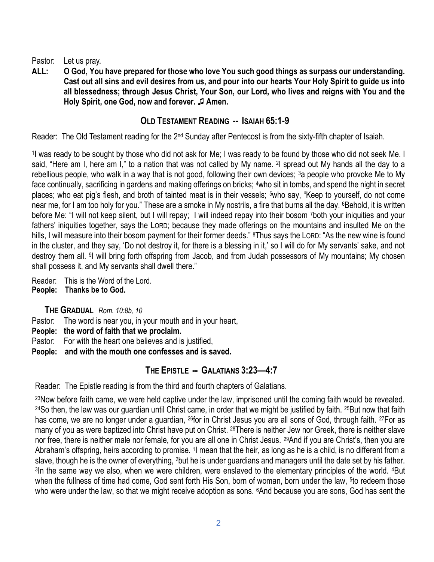Pastor: Let us pray.

**ALL: O God, You have prepared for those who love You such good things as surpass our understanding. Cast out all sins and evil desires from us, and pour into our hearts Your Holy Spirit to guide us into all blessedness; through Jesus Christ, Your Son, our Lord, who lives and reigns with You and the Holy Spirit, one God, now and forever. ♫ Amen.** 

# **OLD TESTAMENT READING -- ISAIAH 65:1-9**

Reader: The Old Testament reading for the 2<sup>nd</sup> Sunday after Pentecost is from the sixty-fifth chapter of Isaiah.

1 I was ready to be sought by those who did not ask for Me; I was ready to be found by those who did not seek Me. I said, "Here am I, here am I," to a nation that was not called by My name. <sup>2</sup>I spread out My hands all the day to a rebellious people, who walk in a way that is not good, following their own devices; <sup>3</sup>a people who provoke Me to My face continually, sacrificing in gardens and making offerings on bricks; 4who sit in tombs, and spend the night in secret places; who eat pig's flesh, and broth of tainted meat is in their vessels; <sup>5</sup>who say, "Keep to yourself, do not come near me, for I am too holy for you." These are a smoke in My nostrils, a fire that burns all the day. <sup>6</sup>Behold, it is written before Me: "I will not keep silent, but I will repay; I will indeed repay into their bosom 7both your iniquities and your fathers' iniquities together, says the LORD; because they made offerings on the mountains and insulted Me on the hills, I will measure into their bosom payment for their former deeds." <sup>8</sup>Thus says the LORD: "As the new wine is found in the cluster, and they say, 'Do not destroy it, for there is a blessing in it,' so I will do for My servants' sake, and not destroy them all. <sup>9</sup>I will bring forth offspring from Jacob, and from Judah possessors of My mountains; My chosen shall possess it, and My servants shall dwell there."

Reader: This is the Word of the Lord. **People: Thanks be to God.**

**THE GRADUAL** *Rom. 10:8b, 10*

Pastor: The word is near you, in your mouth and in your heart,

- **People: the word of faith that we proclaim.**
- Pastor: For with the heart one believes and is justified,
- **People: and with the mouth one confesses and is saved.**

# **THE EPISTLE -- GALATIANS 3:23—4:7**

Reader: The Epistle reading is from the third and fourth chapters of Galatians.

<sup>23</sup>Now before faith came, we were held captive under the law, imprisoned until the coming faith would be revealed. <sup>24</sup>So then, the law was our guardian until Christ came, in order that we might be justified by faith. <sup>25</sup>But now that faith has come, we are no longer under a guardian, <sup>26</sup>for in Christ Jesus you are all sons of God, through faith. <sup>27</sup>For as many of you as were baptized into Christ have put on Christ. 28There is neither Jew nor Greek, there is neither slave nor free, there is neither male nor female, for you are all one in Christ Jesus. 29And if you are Christ's, then you are Abraham's offspring, heirs according to promise. <sup>1</sup>I mean that the heir, as long as he is a child, is no different from a slave, though he is the owner of everything, 2but he is under guardians and managers until the date set by his father. <sup>3</sup>In the same way we also, when we were children, were enslaved to the elementary principles of the world. <sup>4</sup>But when the fullness of time had come, God sent forth His Son, born of woman, born under the law, <sup>5</sup>to redeem those who were under the law, so that we might receive adoption as sons. <sup>6</sup>And because you are sons, God has sent the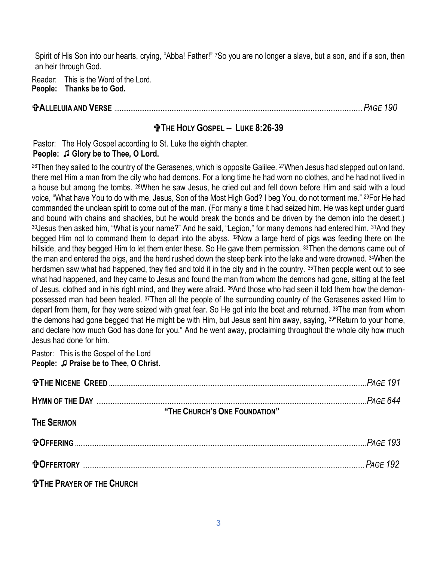Spirit of His Son into our hearts, crying, "Abba! Father!" 7So you are no longer a slave, but a son, and if a son, then an heir through God.

Reader: This is the Word of the Lord. **People: Thanks be to God.**

# **ALLELUIA AND VERSE** ...........................................................................................................................................*PAGE 190*

# **THE HOLY GOSPEL -- LUKE 8:26-39**

Pastor: The Holy Gospel according to St. Luke the eighth chapter.

# **People:** ♫ **Glory be to Thee, O Lord.**

<sup>26</sup>Then they sailed to the country of the Gerasenes, which is opposite Galilee. <sup>27</sup>When Jesus had stepped out on land, there met Him a man from the city who had demons. For a long time he had worn no clothes, and he had not lived in a house but among the tombs. 28When he saw Jesus, he cried out and fell down before Him and said with a loud voice, "What have You to do with me, Jesus, Son of the Most High God? I beg You, do not torment me." 29For He had commanded the unclean spirit to come out of the man. (For many a time it had seized him. He was kept under guard and bound with chains and shackles, but he would break the bonds and be driven by the demon into the desert.) 30 Jesus then asked him, "What is your name?" And he said, "Legion," for many demons had entered him. 31And they begged Him not to command them to depart into the abyss. 32Now a large herd of pigs was feeding there on the hillside, and they begged Him to let them enter these. So He gave them permission. 33Then the demons came out of the man and entered the pigs, and the herd rushed down the steep bank into the lake and were drowned. 34When the herdsmen saw what had happened, they fled and told it in the city and in the country. 35Then people went out to see what had happened, and they came to Jesus and found the man from whom the demons had gone, sitting at the feet of Jesus, clothed and in his right mind, and they were afraid. 36And those who had seen it told them how the demonpossessed man had been healed. 37Then all the people of the surrounding country of the Gerasenes asked Him to depart from them, for they were seized with great fear. So He got into the boat and returned. 38The man from whom the demons had gone begged that He might be with Him, but Jesus sent him away, saying, 39"Return to your home, and declare how much God has done for you." And he went away, proclaiming throughout the whole city how much Jesus had done for him.

Pastor: This is the Gospel of the Lord **People:** ♫ **Praise be to Thee, O Christ.**

| "THE CHURCH'S ONE FOUNDATION"   |  |
|---------------------------------|--|
| <b>THE SERMON</b>               |  |
|                                 |  |
|                                 |  |
| <b>THE PRAYER OF THE CHURCH</b> |  |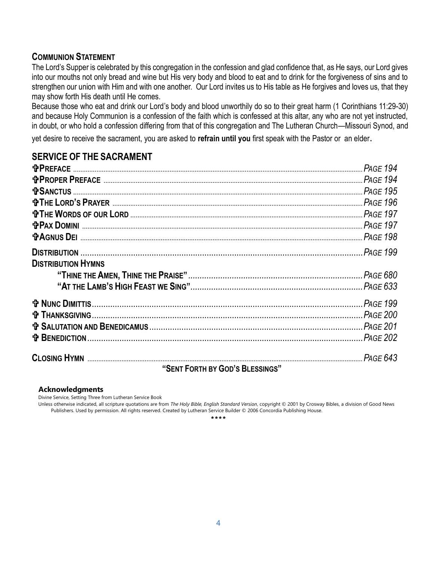# **COMMUNION STATEMENT**

The Lord's Supper is celebrated by this congregation in the confession and glad confidence that, as He says, our Lord gives into our mouths not only bread and wine but His very body and blood to eat and to drink for the forgiveness of sins and to strengthen our union with Him and with one another. Our Lord invites us to His table as He forgives and loves us, that they may show forth His death until He comes.

Because those who eat and drink our Lord's body and blood unworthily do so to their great harm (1 Corinthians 11:29-30) and because Holy Communion is a confession of the faith which is confessed at this altar, any who are not yet instructed, in doubt, or who hold a confession differing from that of this congregation and The Lutheran Church—Missouri Synod, and

yet desire to receive the sacrament, you are asked to **refrain until you** first speak with the Pastor or an elder.

# **SERVICE OF THE SACRAMENT**

| <b>DISTRIBUTION HYMNS</b> |  |
|---------------------------|--|
|                           |  |
|                           |  |
|                           |  |
|                           |  |
|                           |  |
|                           |  |
|                           |  |

**"SENT FORTH BY GOD'S BLESSINGS"** 

#### **Acknowledgments**

Divine Service, Setting Three from Lutheran Service Book

Unless otherwise indicated, all scripture quotations are from *The Holy Bible, English Standard Version*, copyright © 2001 by Crosway Bibles, a division of Good News Publishers. Used by permission. All rights reserved. Created by Lutheran Service Builder © 2006 Concordia Publishing House.

\*\*\*\*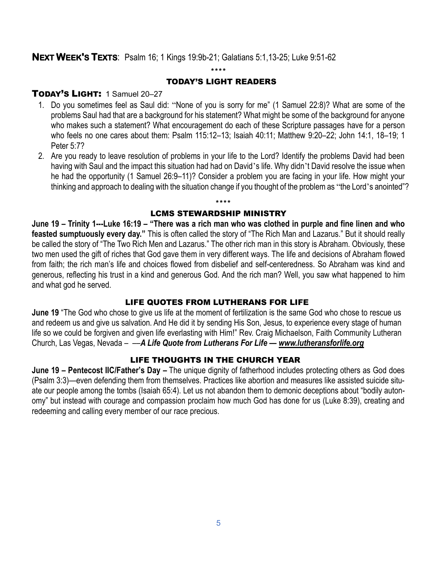# **NEXT WEEK'S TEXTS**: Psalm 16; 1 Kings 19:9b-21; Galatians 5:1,13-25; Luke 9:51-62

#### \*\*\*\*

#### TODAY'S LIGHT READERS

# TODAY'S LIGHT: 1 Samuel 20-27

- 1. Do you sometimes feel as Saul did: "None of you is sorry for me" (1 Samuel 22:8)? What are some of the problems Saul had that are a background for his statement? What might be some of the background for anyone who makes such a statement? What encouragement do each of these Scripture passages have for a person who feels no one cares about them: Psalm 115:12–13; Isaiah 40:11; Matthew 9:20–22; John 14:1, 18–19; 1 Peter 5:7?
- 2. Are you ready to leave resolution of problems in your life to the Lord? Identify the problems David had been having with Saul and the impact this situation had had on David's life. Why didn't David resolve the issue when he had the opportunity (1 Samuel 26:9-11)? Consider a problem you are facing in your life. How might your thinking and approach to dealing with the situation change if you thought of the problem as "the Lord's anointed"?

#### \*\*\*\* LCMS STEWARDSHIP MINISTRY

**June 19 – Trinity 1---Luke 16:19 – "There was a rich man who was clothed in purple and fine linen and who feasted sumptuously every day."** This is often called the story of "The Rich Man and Lazarus." But it should really be called the story of "The Two Rich Men and Lazarus." The other rich man in this story is Abraham. Obviously, these two men used the gift of riches that God gave them in very different ways. The life and decisions of Abraham flowed from faith; the rich man's life and choices flowed from disbelief and self-centeredness. So Abraham was kind and generous, reflecting his trust in a kind and generous God. And the rich man? Well, you saw what happened to him and what god he served.

#### LIFE QUOTES FROM LUTHERANS FOR LIFE

**June 19** "The God who chose to give us life at the moment of fertilization is the same God who chose to rescue us and redeem us and give us salvation. And He did it by sending His Son, Jesus, to experience every stage of human life so we could be forgiven and given life everlasting with Him!" Rev. Craig Michaelson, Faith Community Lutheran Church, Las Vegas, Nevada – ––*A Life Quote from Lutherans For Life — [www.lutheransforlife.org](http://www.lutheransforlife.org/)*

# LIFE THOUGHTS IN THE CHURCH YEAR

**June 19 – Pentecost IIC/Father's Day –** The unique dignity of fatherhood includes protecting others as God does (Psalm 3:3)—even defending them from themselves. Practices like abortion and measures like assisted suicide situate our people among the tombs (Isaiah 65:4). Let us not abandon them to demonic deceptions about "bodily autonomy" but instead with courage and compassion proclaim how much God has done for us (Luke 8:39), creating and redeeming and calling every member of our race precious.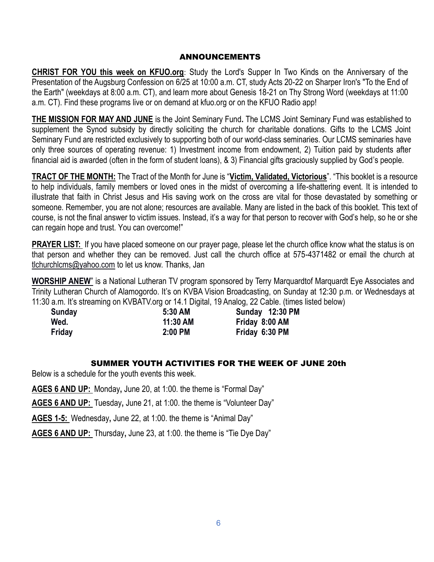#### ANNOUNCEMENTS

**CHRIST FOR YOU this week on KFUO.org**: Study the Lord's Supper In Two Kinds on the Anniversary of the Presentation of the Augsburg Confession on 6/25 at 10:00 a.m. CT, study Acts 20-22 on Sharper Iron's "To the End of the Earth" (weekdays at 8:00 a.m. CT), and learn more about Genesis 18-21 on Thy Strong Word (weekdays at 11:00 a.m. CT). Find these programs live or on demand at kfuo.org or on the KFUO Radio app!

**THE MISSION FOR MAY AND JUNE** is the Joint Seminary Fund**.** The LCMS Joint Seminary Fund was established to supplement the Synod subsidy by directly soliciting the church for charitable donations. Gifts to the LCMS Joint Seminary Fund are restricted exclusively to supporting both of our world-class seminaries. Our LCMS seminaries have only three sources of operating revenue: 1) Investment income from endowment, 2) Tuition paid by students after financial aid is awarded (often in the form of student loans), & 3) Financial gifts graciously supplied by God's people.

**TRACT OF THE MONTH:** The Tract of the Month for June is "**Victim, Validated, Victorious**". "This booklet is a resource to help individuals, family members or loved ones in the midst of overcoming a life-shattering event. It is intended to illustrate that faith in Christ Jesus and His saving work on the cross are vital for those devastated by something or someone. Remember, you are not alone; resources are available. Many are listed in the back of this booklet. This text of course, is not the final answer to victim issues. Instead, it's a way for that person to recover with God's help, so he or she can regain hope and trust. You can overcome!"

**PRAYER LIST:** If you have placed someone on our prayer page, please let the church office know what the status is on that person and whether they can be removed. Just call the church office at 575-4371482 or email the church at [tlchurchlcms@yahoo.com](mailto:tlchurchlcms@yahoo.com) to let us know. Thanks, Jan

**WORSHIP ANEW**" is a National Lutheran TV program sponsored by Terry Marquardtof Marquardt Eye Associates and Trinity Lutheran Church of Alamogordo. It's on KVBA Vision Broadcasting, on Sunday at 12:30 p.m. or Wednesdays at 11:30 a.m. It's streaming on KVBATV.org or 14.1 Digital, 19 Analog, 22 Cable. (times listed below)

| Sunday | 5:30 AM  | Sunday 12:30 PM |
|--------|----------|-----------------|
| Wed.   | 11:30 AM | Friday 8:00 AM  |
| Friday | 2:00 PM  | Friday 6:30 PM  |

#### SUMMER YOUTH ACTIVITIES FOR THE WEEK OF JUNE 20th

Below is a schedule for the youth events this week.

**AGES 6 AND UP:** Monday**,** June 20, at 1:00. the theme is "Formal Day"

**AGES 6 AND UP:** Tuesday**,** June 21, at 1:00. the theme is "Volunteer Day"

**AGES 1-5:** Wednesday**,** June 22, at 1:00. the theme is "Animal Day"

**AGES 6 AND UP:** Thursday**,** June 23, at 1:00. the theme is "Tie Dye Day"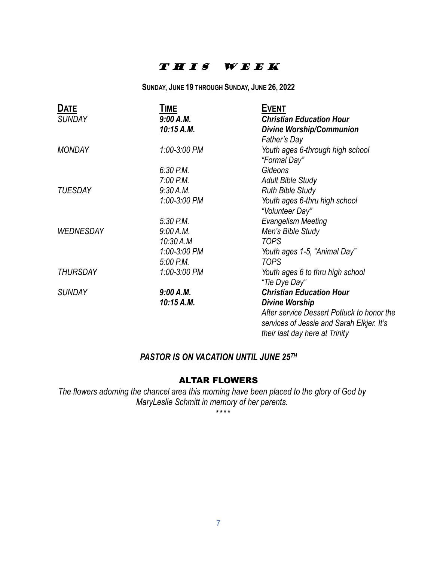# THIS WEEK

**SUNDAY, JUNE 19 THROUGH SUNDAY, JUNE 26, 2022**

| <b>DATE</b>      | TIME         | <b>EVENT</b>                               |
|------------------|--------------|--------------------------------------------|
| <b>SUNDAY</b>    | 9:00 A.M.    | <b>Christian Education Hour</b>            |
|                  | 10:15 A.M.   | <b>Divine Worship/Communion</b>            |
|                  |              | Father's Day                               |
| <b>MONDAY</b>    | 1:00-3:00 PM | Youth ages 6-through high school           |
|                  |              | "Formal Day"                               |
|                  | $6:30$ P.M.  | Gideons                                    |
|                  | 7:00 P.M.    | <b>Adult Bible Study</b>                   |
| <b>TUESDAY</b>   | 9:30 A.M.    | <b>Ruth Bible Study</b>                    |
|                  | 1:00-3:00 PM | Youth ages 6-thru high school              |
|                  |              | "Volunteer Day"                            |
|                  | $5:30$ P.M.  | <b>Evangelism Meeting</b>                  |
| <b>WEDNESDAY</b> | 9:00 A.M.    | Men's Bible Study                          |
|                  | 10:30 A.M    | <b>TOPS</b>                                |
|                  | 1:00-3:00 PM | Youth ages 1-5, "Animal Day"               |
|                  | 5:00 P.M.    | <b>TOPS</b>                                |
| <b>THURSDAY</b>  | 1:00-3:00 PM | Youth ages 6 to thru high school           |
|                  |              | "Tie Dye Day"                              |
| <b>SUNDAY</b>    | 9:00 A.M.    | <b>Christian Education Hour</b>            |
|                  | 10:15 A.M.   | <b>Divine Worship</b>                      |
|                  |              | After service Dessert Potluck to honor the |
|                  |              | services of Jessie and Sarah Elkjer. It's  |
|                  |              | their last day here at Trinity             |

### *PASTOR IS ON VACATION UNTIL JUNE 25TH*

# ALTAR FLOWERS

*The flowers adorning the chancel area this morning have been placed to the glory of God by MaryLeslie Schmitt in memory of her parents.*

\*\*\*\*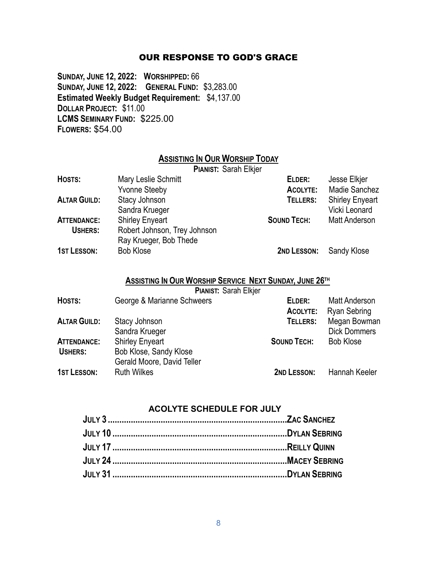#### OUR RESPONSE TO GOD'S GRACE

**SUNDAY, JUNE 12, 2022: WORSHIPPED:** 66 **SUNDAY, JUNE 12, 2022: GENERAL FUND:** \$3,283.00 **Estimated Weekly Budget Requirement:** \$4,137.00 **DOLLAR PROJECT:** \$11.00 **LCMS SEMINARY FUND:** \$225.00 **FLOWERS:** \$54.00

# **ASSISTING IN OUR WORSHIP TODAY**

|                     | <b>PIANIST: Sarah Elkjer</b> |                    |                        |
|---------------------|------------------------------|--------------------|------------------------|
| HOSTS:              | Mary Leslie Schmitt          | ELDER:             | Jesse Elkjer           |
|                     | <b>Yvonne Steeby</b>         | ACOLYTE:           | <b>Madie Sanchez</b>   |
| <b>ALTAR GUILD:</b> | Stacy Johnson                | TELLERS:           | <b>Shirley Enyeart</b> |
|                     | Sandra Krueger               |                    | Vicki Leonard          |
| <b>ATTENDANCE:</b>  | <b>Shirley Enyeart</b>       | <b>SOUND TECH:</b> | <b>Matt Anderson</b>   |
| <b>USHERS:</b>      | Robert Johnson, Trey Johnson |                    |                        |
|                     | Ray Krueger, Bob Thede       |                    |                        |
| <b>1ST LESSON:</b>  | <b>Bob Klose</b>             | 2ND LESSON:        | Sandy Klose            |

# **ASSISTING IN OUR WORSHIP SERVICE NEXT SUNDAY, JUNE 26TH**

**PIANIST:** Sarah Elkjer

| HOSTS:              | George & Marianne Schweers | ELDER:<br>ACOLYTE: | <b>Matt Anderson</b><br>Ryan Sebring |
|---------------------|----------------------------|--------------------|--------------------------------------|
| <b>ALTAR GUILD:</b> | Stacy Johnson              | TELLERS:           | Megan Bowman                         |
|                     | Sandra Krueger             |                    | <b>Dick Dommers</b>                  |
| <b>ATTENDANCE:</b>  | <b>Shirley Enyeart</b>     | <b>SOUND TECH:</b> | <b>Bob Klose</b>                     |
| <b>USHERS:</b>      | Bob Klose, Sandy Klose     |                    |                                      |
|                     | Gerald Moore, David Teller |                    |                                      |
| <b>1ST LESSON:</b>  | <b>Ruth Wilkes</b>         | 2ND LESSON:        | Hannah Keeler                        |

# **ACOLYTE SCHEDULE FOR JULY**